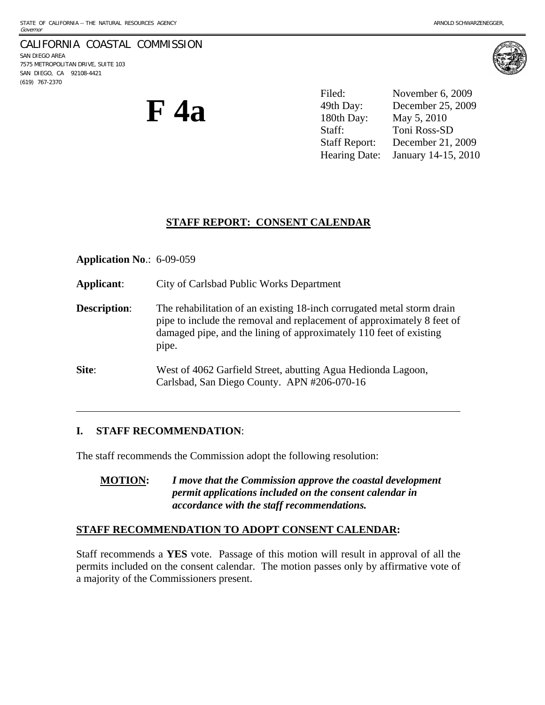# CALIFORNIA COASTAL COMMISSION 7575 METROPOLITAN DRIVE, SUITE 103

SAN DIEGO AREA SAN DIEGO, CA 92108-4421 (619) 767-2370

 $\overline{a}$ 

**F 4a** 

Filed: November 6, 2009 49th Day: December 25, 2009 180th Day: May 5, 2010 Staff: Toni Ross-SD Staff Report: December 21, 2009 Hearing Date: January 14-15, 2010

# **STAFF REPORT: CONSENT CALENDAR**

**Application No**.: 6-09-059

**Applicant**: City of Carlsbad Public Works Department

- **Description:** The rehabilitation of an existing 18-inch corrugated metal storm drain pipe to include the removal and replacement of approximately 8 feet of damaged pipe, and the lining of approximately 110 feet of existing pipe.
- **Site**: West of 4062 Garfield Street, abutting Agua Hedionda Lagoon, Carlsbad, San Diego County. APN #206-070-16

## **I. STAFF RECOMMENDATION**:

The staff recommends the Commission adopt the following resolution:

**MOTION:** *I move that the Commission approve the coastal development permit applications included on the consent calendar in accordance with the staff recommendations.* 

#### **STAFF RECOMMENDATION TO ADOPT CONSENT CALENDAR:**

Staff recommends a **YES** vote. Passage of this motion will result in approval of all the permits included on the consent calendar. The motion passes only by affirmative vote of a majority of the Commissioners present.

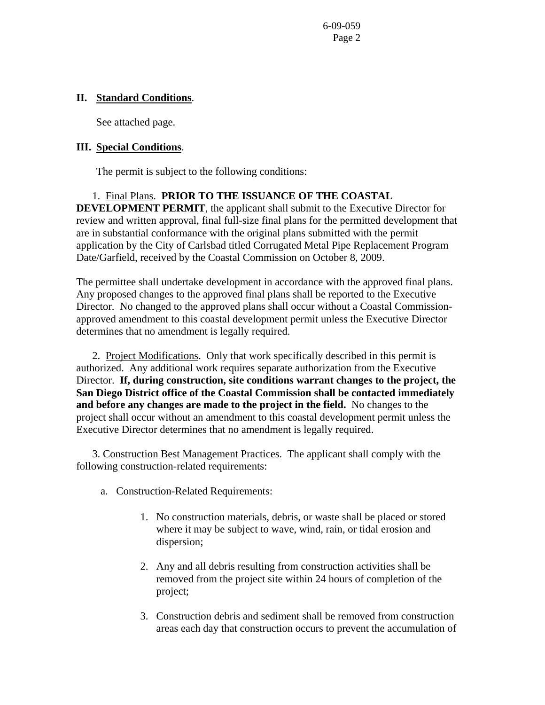#### **II. Standard Conditions**.

See attached page.

#### **III. Special Conditions**.

The permit is subject to the following conditions:

# 1. Final Plans. **PRIOR TO THE ISSUANCE OF THE COASTAL**

**DEVELOPMENT PERMIT**, the applicant shall submit to the Executive Director for review and written approval, final full-size final plans for the permitted development that are in substantial conformance with the original plans submitted with the permit application by the City of Carlsbad titled Corrugated Metal Pipe Replacement Program Date/Garfield, received by the Coastal Commission on October 8, 2009.

The permittee shall undertake development in accordance with the approved final plans. Any proposed changes to the approved final plans shall be reported to the Executive Director. No changed to the approved plans shall occur without a Coastal Commissionapproved amendment to this coastal development permit unless the Executive Director determines that no amendment is legally required.

2. Project Modifications. Only that work specifically described in this permit is authorized. Any additional work requires separate authorization from the Executive Director. **If, during construction, site conditions warrant changes to the project, the San Diego District office of the Coastal Commission shall be contacted immediately and before any changes are made to the project in the field.** No changes to the project shall occur without an amendment to this coastal development permit unless the Executive Director determines that no amendment is legally required.

3. Construction Best Management Practices. The applicant shall comply with the following construction-related requirements:

- a. Construction-Related Requirements:
	- 1. No construction materials, debris, or waste shall be placed or stored where it may be subject to wave, wind, rain, or tidal erosion and dispersion;
	- 2. Any and all debris resulting from construction activities shall be removed from the project site within 24 hours of completion of the project;
	- 3. Construction debris and sediment shall be removed from construction areas each day that construction occurs to prevent the accumulation of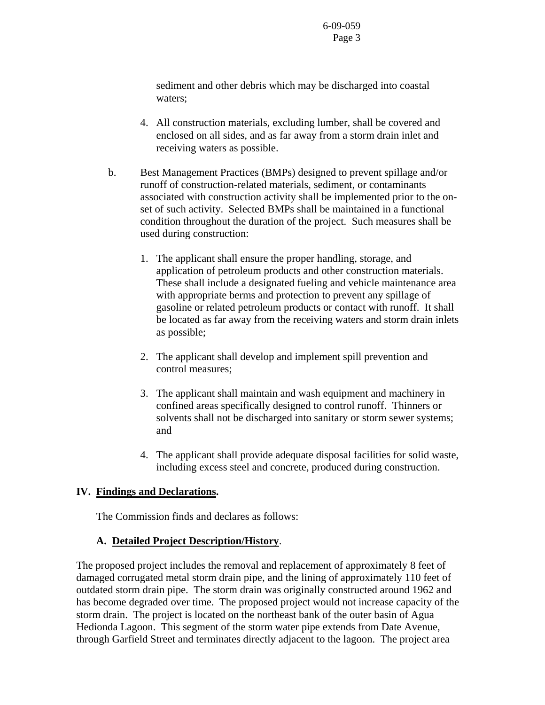sediment and other debris which may be discharged into coastal waters;

- 4. All construction materials, excluding lumber, shall be covered and enclosed on all sides, and as far away from a storm drain inlet and receiving waters as possible.
- b. Best Management Practices (BMPs) designed to prevent spillage and/or runoff of construction-related materials, sediment, or contaminants associated with construction activity shall be implemented prior to the onset of such activity. Selected BMPs shall be maintained in a functional condition throughout the duration of the project. Such measures shall be used during construction:
	- 1. The applicant shall ensure the proper handling, storage, and application of petroleum products and other construction materials. These shall include a designated fueling and vehicle maintenance area with appropriate berms and protection to prevent any spillage of gasoline or related petroleum products or contact with runoff. It shall be located as far away from the receiving waters and storm drain inlets as possible;
	- 2. The applicant shall develop and implement spill prevention and control measures;
	- 3. The applicant shall maintain and wash equipment and machinery in confined areas specifically designed to control runoff. Thinners or solvents shall not be discharged into sanitary or storm sewer systems; and
	- 4. The applicant shall provide adequate disposal facilities for solid waste, including excess steel and concrete, produced during construction.

## **IV. Findings and Declarations.**

The Commission finds and declares as follows:

## **A. Detailed Project Description/History**.

The proposed project includes the removal and replacement of approximately 8 feet of damaged corrugated metal storm drain pipe, and the lining of approximately 110 feet of outdated storm drain pipe. The storm drain was originally constructed around 1962 and has become degraded over time. The proposed project would not increase capacity of the storm drain. The project is located on the northeast bank of the outer basin of Agua Hedionda Lagoon. This segment of the storm water pipe extends from Date Avenue, through Garfield Street and terminates directly adjacent to the lagoon. The project area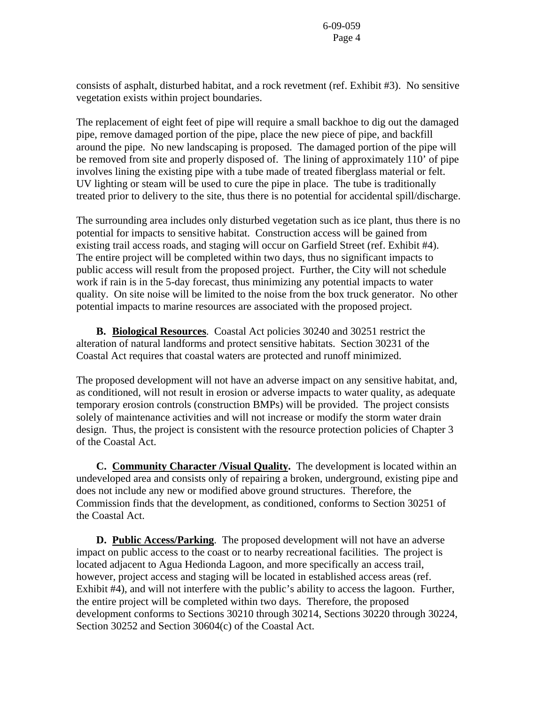consists of asphalt, disturbed habitat, and a rock revetment (ref. Exhibit #3). No sensitive vegetation exists within project boundaries.

The replacement of eight feet of pipe will require a small backhoe to dig out the damaged pipe, remove damaged portion of the pipe, place the new piece of pipe, and backfill around the pipe. No new landscaping is proposed. The damaged portion of the pipe will be removed from site and properly disposed of. The lining of approximately 110' of pipe involves lining the existing pipe with a tube made of treated fiberglass material or felt. UV lighting or steam will be used to cure the pipe in place. The tube is traditionally treated prior to delivery to the site, thus there is no potential for accidental spill/discharge.

The surrounding area includes only disturbed vegetation such as ice plant, thus there is no potential for impacts to sensitive habitat. Construction access will be gained from existing trail access roads, and staging will occur on Garfield Street (ref. Exhibit #4). The entire project will be completed within two days, thus no significant impacts to public access will result from the proposed project. Further, the City will not schedule work if rain is in the 5-day forecast, thus minimizing any potential impacts to water quality. On site noise will be limited to the noise from the box truck generator. No other potential impacts to marine resources are associated with the proposed project.

 **B. Biological Resources**. Coastal Act policies 30240 and 30251 restrict the alteration of natural landforms and protect sensitive habitats. Section 30231 of the Coastal Act requires that coastal waters are protected and runoff minimized.

The proposed development will not have an adverse impact on any sensitive habitat, and, as conditioned, will not result in erosion or adverse impacts to water quality, as adequate temporary erosion controls (construction BMPs) will be provided. The project consists solely of maintenance activities and will not increase or modify the storm water drain design. Thus, the project is consistent with the resource protection policies of Chapter 3 of the Coastal Act.

 **C. Community Character /Visual Quality.** The development is located within an undeveloped area and consists only of repairing a broken, underground, existing pipe and does not include any new or modified above ground structures. Therefore, the Commission finds that the development, as conditioned, conforms to Section 30251 of the Coastal Act.

**D. Public Access/Parking**. The proposed development will not have an adverse impact on public access to the coast or to nearby recreational facilities. The project is located adjacent to Agua Hedionda Lagoon, and more specifically an access trail, however, project access and staging will be located in established access areas (ref. Exhibit #4), and will not interfere with the public's ability to access the lagoon. Further, the entire project will be completed within two days. Therefore, the proposed development conforms to Sections 30210 through 30214, Sections 30220 through 30224, Section 30252 and Section 30604(c) of the Coastal Act.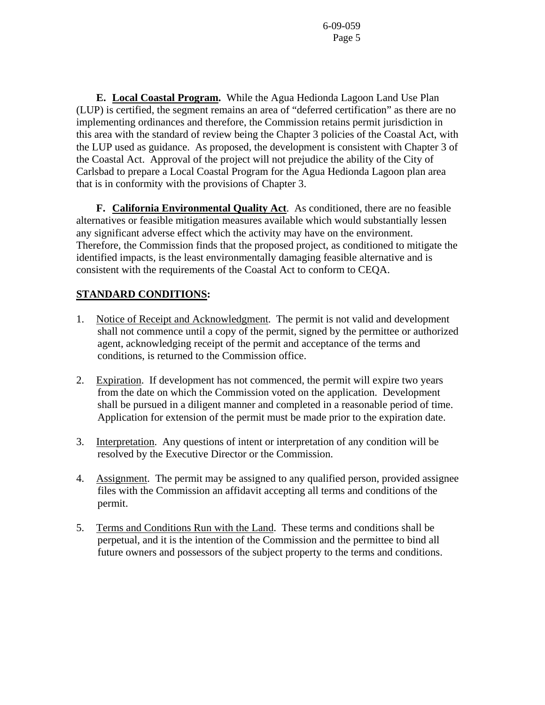**E. Local Coastal Program.** While the Agua Hedionda Lagoon Land Use Plan (LUP) is certified, the segment remains an area of "deferred certification" as there are no implementing ordinances and therefore, the Commission retains permit jurisdiction in this area with the standard of review being the Chapter 3 policies of the Coastal Act, with the LUP used as guidance. As proposed, the development is consistent with Chapter 3 of the Coastal Act. Approval of the project will not prejudice the ability of the City of Carlsbad to prepare a Local Coastal Program for the Agua Hedionda Lagoon plan area that is in conformity with the provisions of Chapter 3.

 **F. California Environmental Quality Act**. As conditioned, there are no feasible alternatives or feasible mitigation measures available which would substantially lessen any significant adverse effect which the activity may have on the environment. Therefore, the Commission finds that the proposed project, as conditioned to mitigate the identified impacts, is the least environmentally damaging feasible alternative and is consistent with the requirements of the Coastal Act to conform to CEQA.

# **STANDARD CONDITIONS:**

- 1. Notice of Receipt and Acknowledgment. The permit is not valid and development shall not commence until a copy of the permit, signed by the permittee or authorized agent, acknowledging receipt of the permit and acceptance of the terms and conditions, is returned to the Commission office.
- 2. Expiration. If development has not commenced, the permit will expire two years from the date on which the Commission voted on the application. Development shall be pursued in a diligent manner and completed in a reasonable period of time. Application for extension of the permit must be made prior to the expiration date.
- 3. Interpretation. Any questions of intent or interpretation of any condition will be resolved by the Executive Director or the Commission.
- 4. Assignment. The permit may be assigned to any qualified person, provided assignee files with the Commission an affidavit accepting all terms and conditions of the permit.
- 5. Terms and Conditions Run with the Land. These terms and conditions shall be perpetual, and it is the intention of the Commission and the permittee to bind all future owners and possessors of the subject property to the terms and conditions.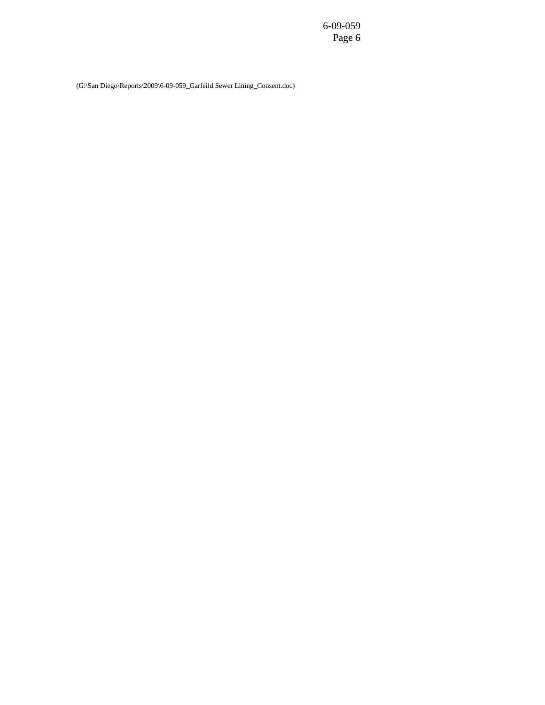(G:\San Diego\Reports\2009\6-09-059\_Garfeild Sewer Lining\_Consent.doc)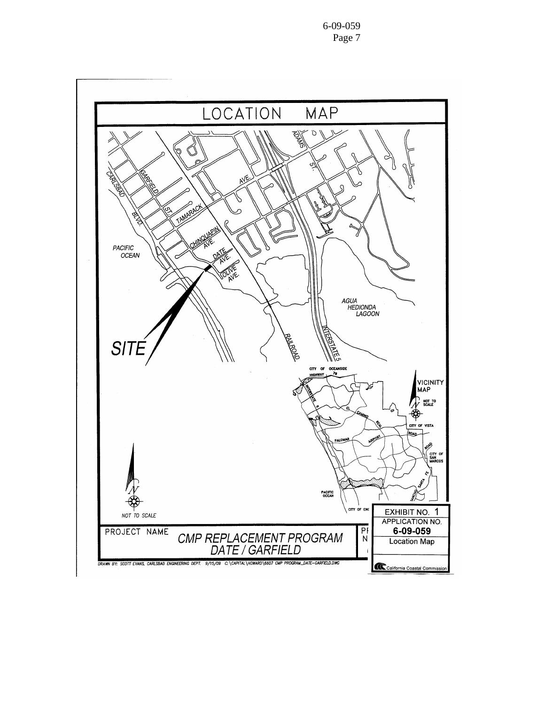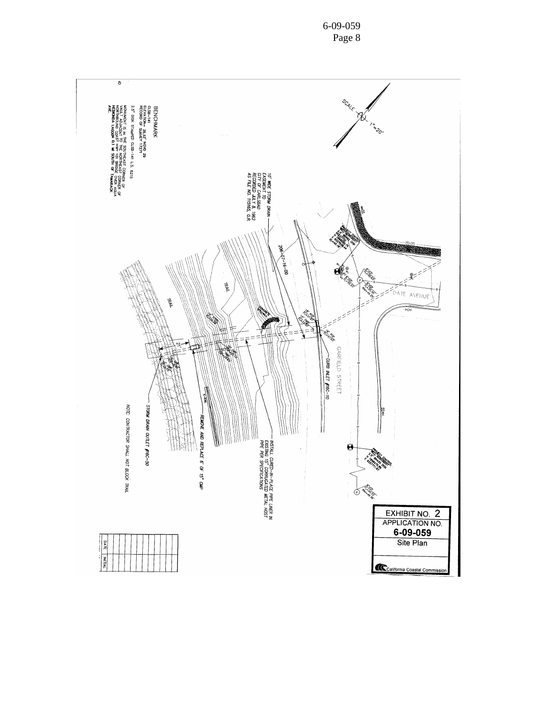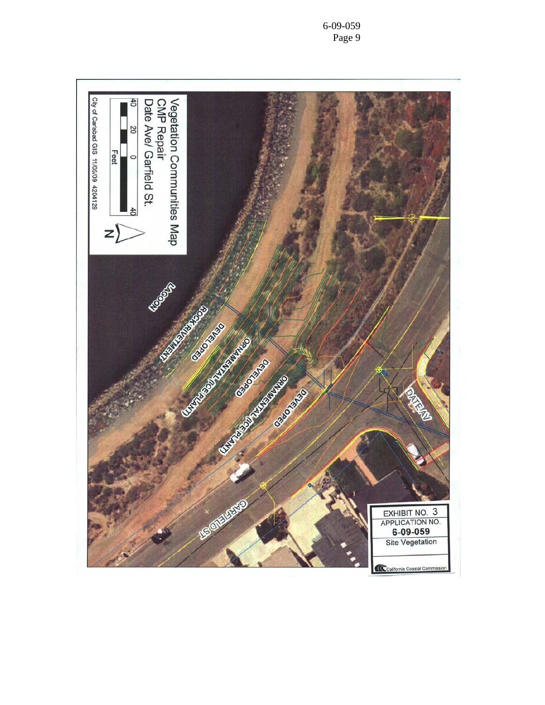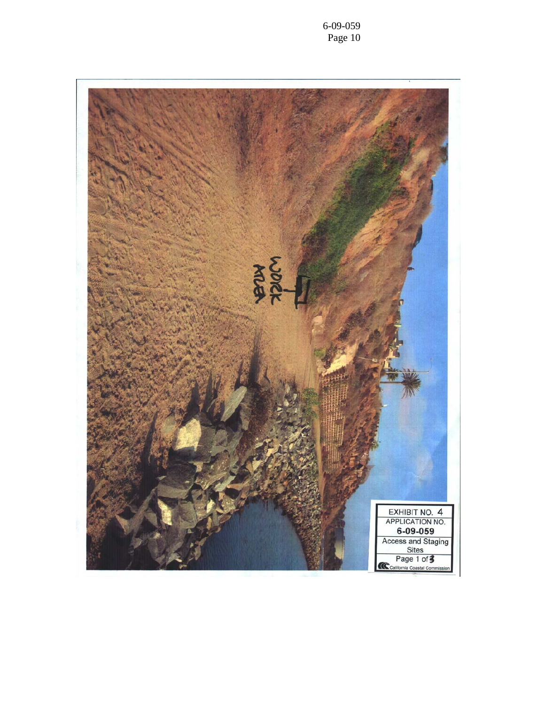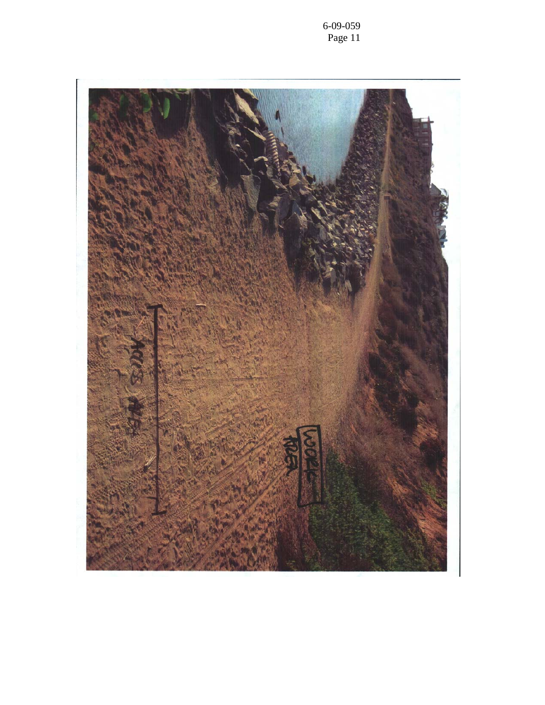